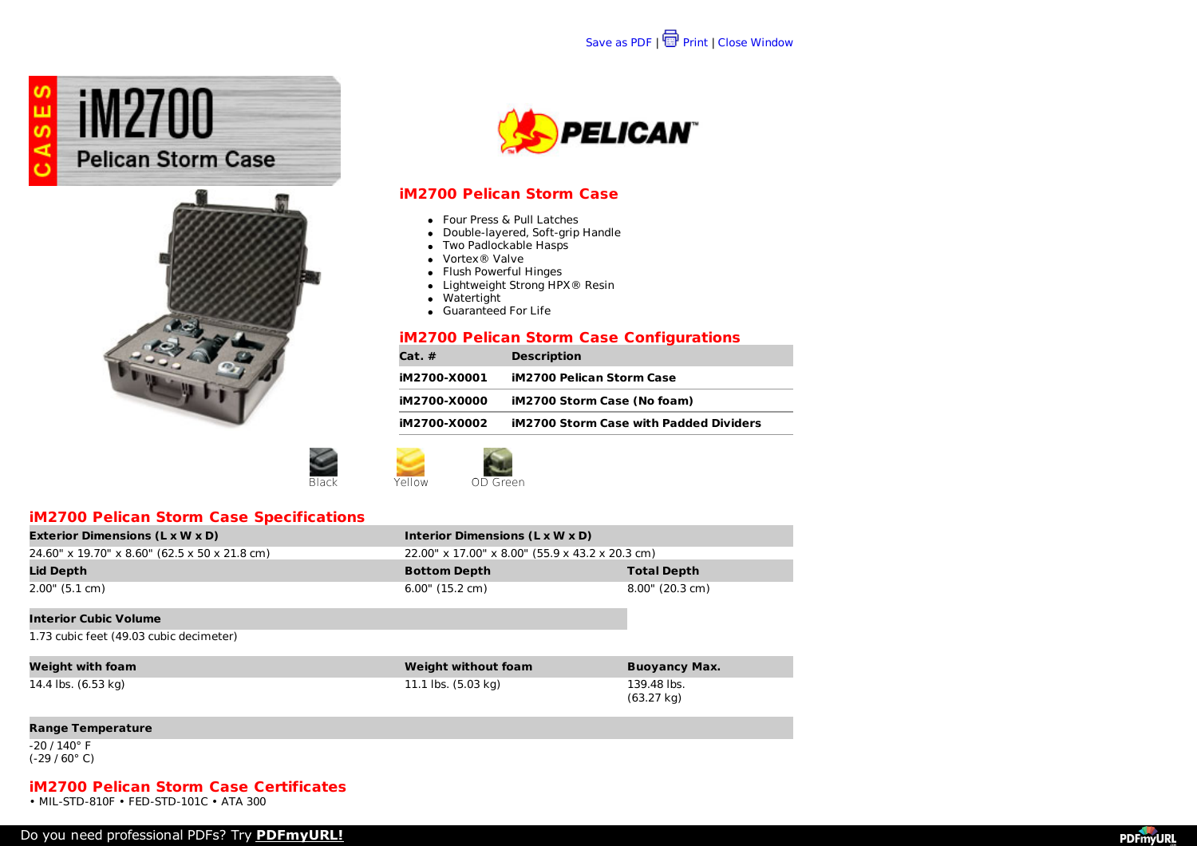



### **iM2700 Pelican Storm Case**

- Four Press & Pull Latches
- Double-layered, Soft-grip Handle
- Two Padlockable Hasps
- Vortex® Valve
- Flush Powerful Hinges
- Lightweight Strong HPX® Resin
- Watertight
- Guaranteed For Life

### **iM2700 Pelican Storm Case Configurations**

| iM2700 Pelican Storm Case<br>iM2700-X0001<br>iM2700 Storm Case (No foam)<br>iM2700-X0000 |  |  |
|------------------------------------------------------------------------------------------|--|--|
|------------------------------------------------------------------------------------------|--|--|





# **iM2700 Pelican Storm Case Specifications**

| <b>Exterior Dimensions (L x W x D)</b>        | Interior Dimensions (L x W x D)                 |                    |
|-----------------------------------------------|-------------------------------------------------|--------------------|
| 24.60" x 19.70" x 8.60" (62.5 x 50 x 21.8 cm) | 22.00" x 17.00" x 8.00" (55.9 x 43.2 x 20.3 cm) |                    |
| Lid Depth                                     | <b>Bottom Depth</b>                             | <b>Total Depth</b> |
| 2.00" (5.1 cm)                                | $6.00$ " (15.2 cm)                              | 8.00" (20.3 cm)    |
| <b>Interior Cubic Volume</b>                  |                                                 |                    |
| 1.73 cubic feet (49.03 cubic decimeter)       |                                                 |                    |

| Weight with foam    | <b>Weight without foam</b> | <b>Buoyancy Max.</b>      |
|---------------------|----------------------------|---------------------------|
| 14.4 lbs. (6.53 kg) | 11.1 lbs. (5.03 kg)        | 139.48 lbs.<br>(63.27 kg) |

#### **Range Temperature**

-20 / 140° F (-29 / 60° C)

### **iM2700 Pelican Storm Case Certificates**

• MIL-STD-810F • FED-STD-101C • ATA 300